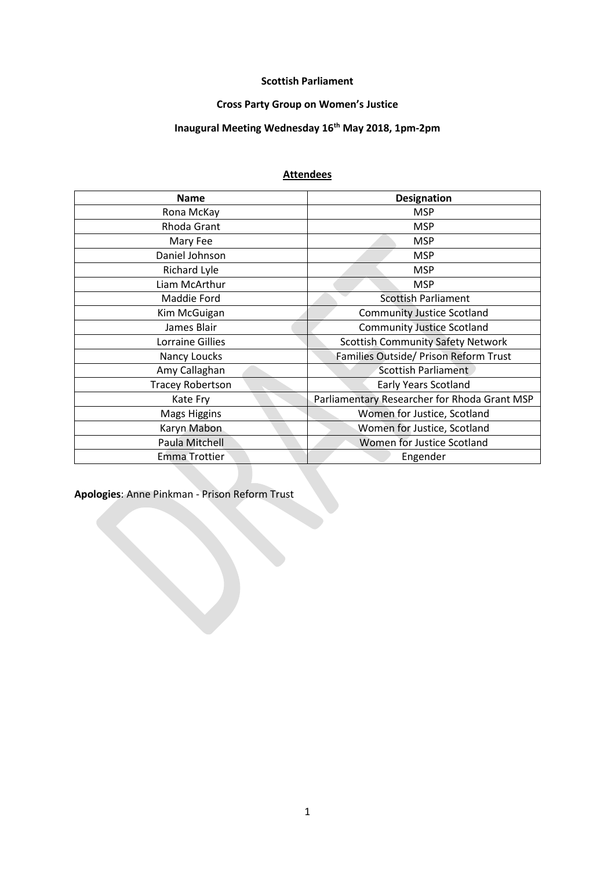## **Scottish Parliament**

## **Cross Party Group on Women's Justice**

## **Inaugural Meeting Wednesday 16th May 2018, 1pm-2pm**

## **Attendees**

| <b>Name</b>             | <b>Designation</b>                           |  |
|-------------------------|----------------------------------------------|--|
| Rona McKay              | <b>MSP</b>                                   |  |
| Rhoda Grant             | <b>MSP</b>                                   |  |
| Mary Fee                | <b>MSP</b>                                   |  |
| Daniel Johnson          | <b>MSP</b>                                   |  |
| <b>Richard Lyle</b>     | <b>MSP</b>                                   |  |
| Liam McArthur           | <b>MSP</b>                                   |  |
| Maddie Ford             | <b>Scottish Parliament</b>                   |  |
| Kim McGuigan            | <b>Community Justice Scotland</b>            |  |
| James Blair             | <b>Community Justice Scotland</b>            |  |
| Lorraine Gillies        | <b>Scottish Community Safety Network</b>     |  |
| Nancy Loucks            | Families Outside/ Prison Reform Trust        |  |
| Amy Callaghan           | <b>Scottish Parliament</b>                   |  |
| <b>Tracey Robertson</b> | <b>Early Years Scotland</b>                  |  |
| Kate Fry                | Parliamentary Researcher for Rhoda Grant MSP |  |
| <b>Mags Higgins</b>     | Women for Justice, Scotland                  |  |
| Karyn Mabon             | Women for Justice, Scotland                  |  |
| Paula Mitchell          | Women for Justice Scotland                   |  |
| <b>Emma Trottier</b>    | Engender                                     |  |

**Apologies**: Anne Pinkman - Prison Reform Trust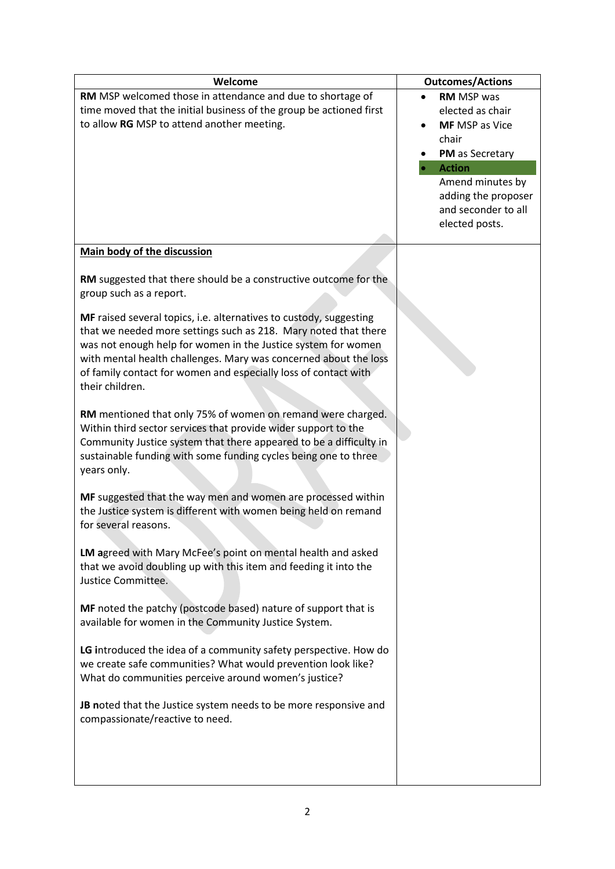| Welcome                                                                                                                                                                                                                                                                                                                                                                                                                                                         | <b>Outcomes/Actions</b>                                                                                                                                |
|-----------------------------------------------------------------------------------------------------------------------------------------------------------------------------------------------------------------------------------------------------------------------------------------------------------------------------------------------------------------------------------------------------------------------------------------------------------------|--------------------------------------------------------------------------------------------------------------------------------------------------------|
| RM MSP welcomed those in attendance and due to shortage of<br>time moved that the initial business of the group be actioned first<br>to allow RG MSP to attend another meeting.                                                                                                                                                                                                                                                                                 | <b>RM</b> MSP was<br>elected as chair<br><b>MF</b> MSP as Vice<br>chair<br>PM as Secretary<br><b>Action</b><br>Amend minutes by<br>adding the proposer |
|                                                                                                                                                                                                                                                                                                                                                                                                                                                                 | and seconder to all<br>elected posts.                                                                                                                  |
| Main body of the discussion                                                                                                                                                                                                                                                                                                                                                                                                                                     |                                                                                                                                                        |
| RM suggested that there should be a constructive outcome for the<br>group such as a report.<br>MF raised several topics, i.e. alternatives to custody, suggesting<br>that we needed more settings such as 218. Mary noted that there<br>was not enough help for women in the Justice system for women<br>with mental health challenges. Mary was concerned about the loss<br>of family contact for women and especially loss of contact with<br>their children. |                                                                                                                                                        |
| RM mentioned that only 75% of women on remand were charged.<br>Within third sector services that provide wider support to the<br>Community Justice system that there appeared to be a difficulty in<br>sustainable funding with some funding cycles being one to three<br>years only.                                                                                                                                                                           |                                                                                                                                                        |
| MF suggested that the way men and women are processed within<br>the Justice system is different with women being held on remand<br>for several reasons.                                                                                                                                                                                                                                                                                                         |                                                                                                                                                        |
| LM agreed with Mary McFee's point on mental health and asked<br>that we avoid doubling up with this item and feeding it into the<br>Justice Committee.                                                                                                                                                                                                                                                                                                          |                                                                                                                                                        |
| MF noted the patchy (postcode based) nature of support that is<br>available for women in the Community Justice System.                                                                                                                                                                                                                                                                                                                                          |                                                                                                                                                        |
| LG introduced the idea of a community safety perspective. How do<br>we create safe communities? What would prevention look like?<br>What do communities perceive around women's justice?                                                                                                                                                                                                                                                                        |                                                                                                                                                        |
| <b>JB</b> noted that the Justice system needs to be more responsive and<br>compassionate/reactive to need.                                                                                                                                                                                                                                                                                                                                                      |                                                                                                                                                        |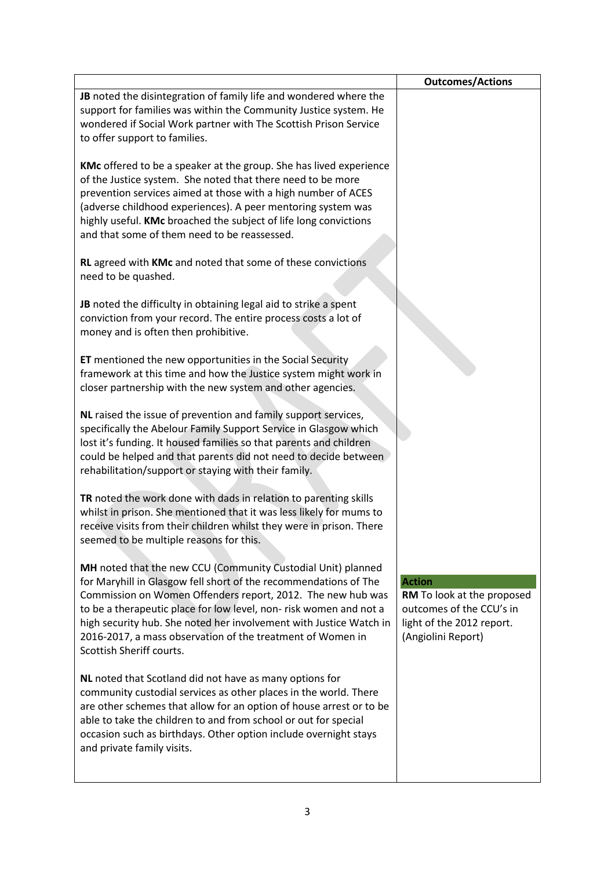|                                                                                                                                                                                                                                                                                                                                                                                                                                      | <b>Outcomes/Actions</b>                                                                                                    |
|--------------------------------------------------------------------------------------------------------------------------------------------------------------------------------------------------------------------------------------------------------------------------------------------------------------------------------------------------------------------------------------------------------------------------------------|----------------------------------------------------------------------------------------------------------------------------|
| JB noted the disintegration of family life and wondered where the<br>support for families was within the Community Justice system. He<br>wondered if Social Work partner with The Scottish Prison Service<br>to offer support to families.                                                                                                                                                                                           |                                                                                                                            |
| <b>KMc</b> offered to be a speaker at the group. She has lived experience<br>of the Justice system. She noted that there need to be more<br>prevention services aimed at those with a high number of ACES<br>(adverse childhood experiences). A peer mentoring system was<br>highly useful. KMc broached the subject of life long convictions<br>and that some of them need to be reassessed.                                        |                                                                                                                            |
| RL agreed with KMc and noted that some of these convictions<br>need to be quashed.                                                                                                                                                                                                                                                                                                                                                   |                                                                                                                            |
| JB noted the difficulty in obtaining legal aid to strike a spent<br>conviction from your record. The entire process costs a lot of<br>money and is often then prohibitive.                                                                                                                                                                                                                                                           |                                                                                                                            |
| ET mentioned the new opportunities in the Social Security<br>framework at this time and how the Justice system might work in<br>closer partnership with the new system and other agencies.                                                                                                                                                                                                                                           |                                                                                                                            |
| NL raised the issue of prevention and family support services,<br>specifically the Abelour Family Support Service in Glasgow which<br>lost it's funding. It housed families so that parents and children<br>could be helped and that parents did not need to decide between<br>rehabilitation/support or staying with their family.                                                                                                  |                                                                                                                            |
| TR noted the work done with dads in relation to parenting skills<br>whilst in prison. She mentioned that it was less likely for mums to<br>receive visits from their children whilst they were in prison. There<br>seemed to be multiple reasons for this.                                                                                                                                                                           |                                                                                                                            |
| MH noted that the new CCU (Community Custodial Unit) planned<br>for Maryhill in Glasgow fell short of the recommendations of The<br>Commission on Women Offenders report, 2012. The new hub was<br>to be a therapeutic place for low level, non-risk women and not a<br>high security hub. She noted her involvement with Justice Watch in<br>2016-2017, a mass observation of the treatment of Women in<br>Scottish Sheriff courts. | <b>Action</b><br>RM To look at the proposed<br>outcomes of the CCU's in<br>light of the 2012 report.<br>(Angiolini Report) |
| NL noted that Scotland did not have as many options for<br>community custodial services as other places in the world. There<br>are other schemes that allow for an option of house arrest or to be<br>able to take the children to and from school or out for special<br>occasion such as birthdays. Other option include overnight stays<br>and private family visits.                                                              |                                                                                                                            |